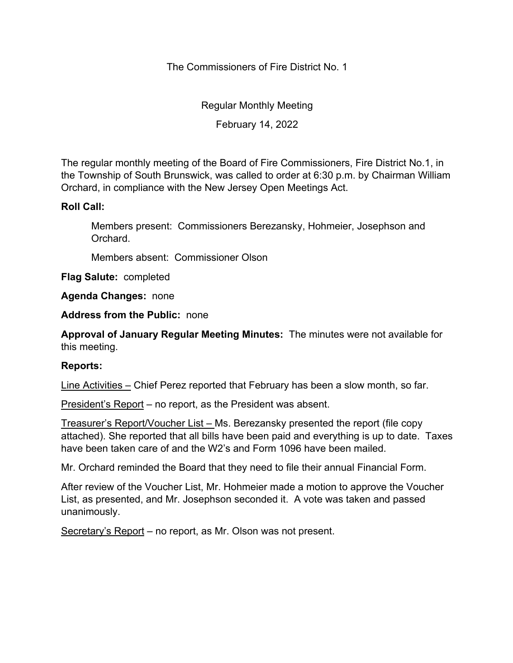The Commissioners of Fire District No. 1

Regular Monthly Meeting

February 14, 2022

The regular monthly meeting of the Board of Fire Commissioners, Fire District No.1, in the Township of South Brunswick, was called to order at 6:30 p.m. by Chairman William Orchard, in compliance with the New Jersey Open Meetings Act.

## **Roll Call:**

Members present: Commissioners Berezansky, Hohmeier, Josephson and Orchard.

Members absent: Commissioner Olson

**Flag Salute:** completed

**Agenda Changes:** none

**Address from the Public:** none

**Approval of January Regular Meeting Minutes:** The minutes were not available for this meeting.

## **Reports:**

Line Activities – Chief Perez reported that February has been a slow month, so far.

President's Report – no report, as the President was absent.

Treasurer's Report/Voucher List – Ms. Berezansky presented the report (file copy attached). She reported that all bills have been paid and everything is up to date. Taxes have been taken care of and the W2's and Form 1096 have been mailed.

Mr. Orchard reminded the Board that they need to file their annual Financial Form.

After review of the Voucher List, Mr. Hohmeier made a motion to approve the Voucher List, as presented, and Mr. Josephson seconded it. A vote was taken and passed unanimously.

Secretary's Report – no report, as Mr. Olson was not present.